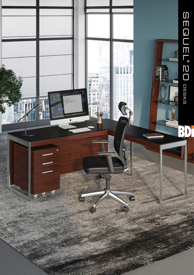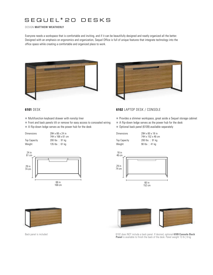# SEQUEL **®** 20 DESKS

### DESIGN **MATTHEW WEATHERLY**

Everyone needs a workspace that is comfortable and inviting, and if it can be beautifully designed and neatly organized all the better. Designed with an emphasis on ergonomics and organization, Sequel Office is full of unique features that integrate technology into the office space while creating a comfortable and organized place to work.





- $\blacksquare$  Multifunction keyboard drawer with nonslip liner
- $\blacksquare$  Front and back panels tilt or remove for easy access to concealed wiring
- A flip-down ledge serves as the power hub for the desk

| <b>Dimensions</b>   | 29H x 66 x 24 in<br>74H x 168 x 61 cm |
|---------------------|---------------------------------------|
| <b>Top Capacity</b> | 200 lbs   91 kg                       |
| Weight              | 135 $\text{lbs}$   61 kg              |





Back panel is included



- Provides a slimmer workspace, great aside a Sequel storage cabinet
- $\blacksquare$  A flip-down ledge serves as the power hub for the desk
- Optional back panel (6109) available separately

Dimensions 29H x 60 x 18 in

74H x 152 x 46 cm Top Capacity 200 lbs | 91 kg Weight 90 lbs | 41 kg





6102 does NOT include a back panel. If desired, optional **6109 Console Back Panel** is available to finish the back of the desk. Panel weight 13 lb | 6 kg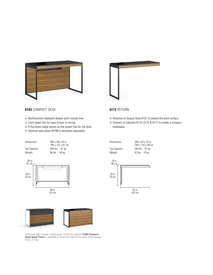



#### **6103** COMPACT DESK

- $\blacksquare$  Multifunction keyboard drawer with nonslip liner
- $\blacksquare$  Front panel tilts for easy access to wiring
- A flip-down ledge serves as the power hub for the desk
- n Optional back panel (6108) is available separately

## n Attaches to Sequel Desk 6101 to extend the work surface

**6112** RETURN

■ Connect to Cabinets 6114, 6116 & 6117 to create a compact workspace









6103 does NOT include a back panel. If desired, optional **6108 Compact Desk Back Panel** is available to finish the back of the desk. Panel weight 10 lb | 4.5 kg



Dimensions 29H x 42 x 18 in 74H x 107 x 46 cm

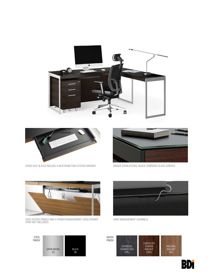



STRIP NOT INCLUDED)

NATURAL WALNUT (WL) CHOCOLATE STAINED WALNUT (CWL) CHARCOAL STAINED ASH (CRL) WOOD FINISH



EASY-ACCESS PANELS AND A POWER MANAGEMENT LEDGE (POWER WIRE MANAGEMENT CHANNELS







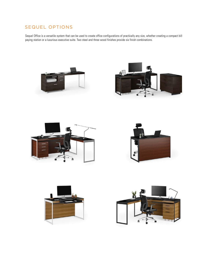## SEQUEL OPTIONS

Sequel Office is a versatile system that can be used to create office configurations of practically any size, whether creating a compact bill paying station or a luxurious executive suite. Two steel and three wood finishes provide six finish combinations.